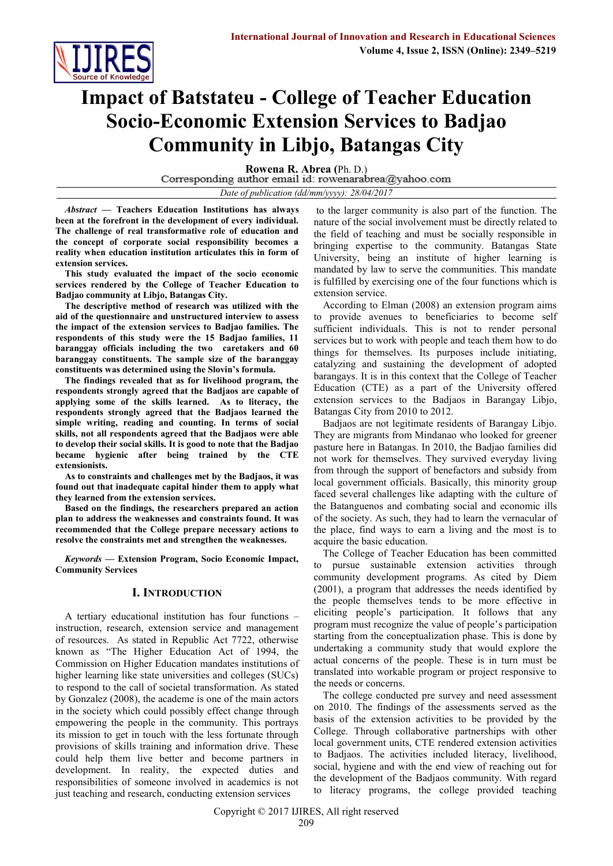

# **Impact of Batstateu - College of Teacher Education Socio-Economic Extension Services to Badjao Community in Libjo, Batangas City**

**Rowena R. Abrea (Ph. D.)**<br>Corresponding author email id: rowenarabrea@yahoo.com

*Date of publication (dd/mm/yyyy): 28/04/2017*

*Abstract* **— Teachers Education Institutions has always been at the forefront in the development of every individual. The challenge of real transformative role of education and the concept of corporate social responsibility becomes a reality when education institution articulates this in form of extension services.**

**This study evaluated the impact of the socio economic services rendered by the College of Teacher Education to Badjao community at Libjo, Batangas City.**

**The descriptive method of research was utilized with the aid of the questionnaire and unstructured interview to assess the impact of the extension services to Badjao families. The respondents of this study were the 15 Badjao families, 11 baranggay officials including the two caretakers and 60 baranggay constituents. The sample size of the baranggay constituents was determined using the Slovin's formula.**

**The findings revealed that as for livelihood program, the respondents strongly agreed that the Badjaos are capable of applying some of the skills learned. As to literacy, the respondents strongly agreed that the Badjaos learned the simple writing, reading and counting. In terms of social skills, not all respondents agreed that the Badjaos were able to develop their social skills. It is good to note that the Badjao became hygienic after being trained by the CTE extensionists.**

**As to constraints and challenges met by the Badjaos, it was found out that inadequate capital hinder them to apply what they learned from the extension services.**

**Based on the findings, the researchers prepared an action plan to address the weaknesses and constraints found. It was recommended that the College prepare necessary actions to resolve the constraints met and strengthen the weaknesses.**

*Keywords* **— Extension Program, Socio Economic Impact, Community Services**

## **I. INTRODUCTION**

A tertiary educational institution has four functions – instruction, research, extension service and management of resources. As stated in Republic Act 7722, otherwise known as "The Higher Education Act of 1994, the Commission on Higher Education mandates institutions of higher learning like state universities and colleges (SUCs) to respond to the call of societal transformation. As stated by Gonzalez (2008), the academe is one of the main actors in the society which could possibly effect change through empowering the people in the community. This portrays its mission to get in touch with the less fortunate through provisions of skills training and information drive. These could help them live better and become partners in development. In reality, the expected duties and responsibilities of someone involved in academics is not just teaching and research, conducting extension services

to the larger community is also part of the function. The nature of the social involvement must be directly related to the field of teaching and must be socially responsible in bringing expertise to the community. Batangas State University, being an institute of higher learning is mandated by law to serve the communities. This mandate is fulfilled by exercising one of the four functions which is extension service.

According to Elman (2008) an extension program aims to provide avenues to beneficiaries to become self sufficient individuals. This is not to render personal services but to work with people and teach them how to do things for themselves. Its purposes include initiating, catalyzing and sustaining the development of adopted barangays. It is in this context that the College of Teacher Education (CTE) as a part of the University offered extension services to the Badjaos in Barangay Libjo, Batangas City from 2010 to 2012.

Badjaos are not legitimate residents of Barangay Libjo. They are migrants from Mindanao who looked for greener pasture here in Batangas. In 2010, the Badjao families did not work for themselves. They survived everyday living from through the support of benefactors and subsidy from local government officials. Basically, this minority group faced several challenges like adapting with the culture of the Batanguenos and combating social and economic ills of the society. As such, they had to learn the vernacular of the place, find ways to earn a living and the most is to acquire the basic education.

The College of Teacher Education has been committed to pursue sustainable extension activities through community development programs. As cited by Diem (2001), a program that addresses the needs identified by the people themselves tends to be more effective in eliciting people's participation. It follows that any program must recognize the value of people's participation starting from the conceptualization phase. This is done by undertaking a community study that would explore the actual concerns of the people. These is in turn must be translated into workable program or project responsive to the needs or concerns.

The college conducted pre survey and need assessment on 2010. The findings of the assessments served as the basis of the extension activities to be provided by the College. Through collaborative partnerships with other local government units, CTE rendered extension activities to Badjaos. The activities included literacy, livelihood, social, hygiene and with the end view of reaching out for the development of the Badjaos community. With regard to literacy programs, the college provided teaching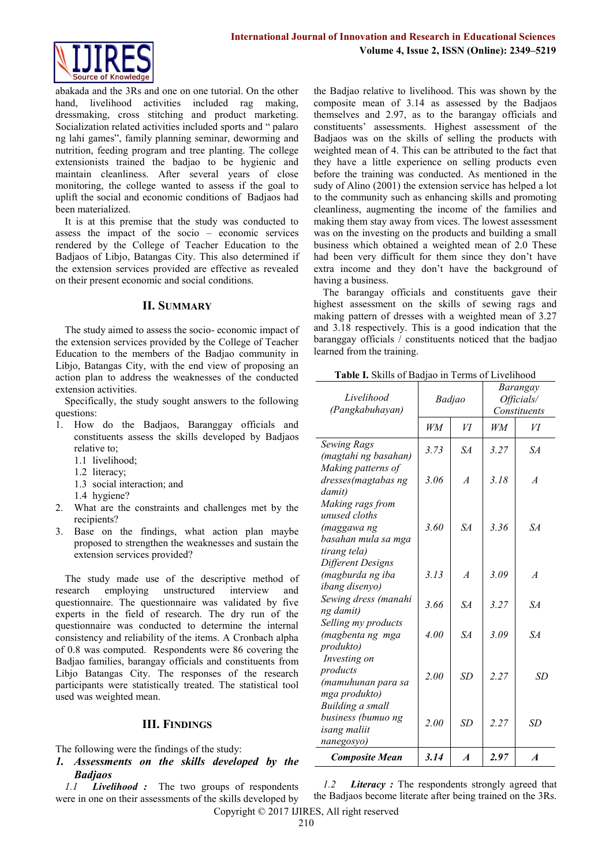

abakada and the 3Rs and one on one tutorial. On the other hand, livelihood activities included rag making, dressmaking, cross stitching and product marketing. Socialization related activities included sports and " palaro ng lahi games", family planning seminar, deworming and nutrition, feeding program and tree planting. The college extensionists trained the badjao to be hygienic and maintain cleanliness. After several years of close monitoring, the college wanted to assess if the goal to uplift the social and economic conditions of Badjaos had been materialized.

It is at this premise that the study was conducted to assess the impact of the socio – economic services rendered by the College of Teacher Education to the Badjaos of Libjo, Batangas City. This also determined if the extension services provided are effective as revealed on their present economic and social conditions.

#### **II. SUMMARY**

The study aimed to assess the socio- economic impact of the extension services provided by the College of Teacher Education to the members of the Badjao community in Libjo, Batangas City, with the end view of proposing an action plan to address the weaknesses of the conducted extension activities.

Specifically, the study sought answers to the following questions:

- 1. How do the Badjaos, Baranggay officials and constituents assess the skills developed by Badjaos relative to;
	- 1.1 livelihood;
	- 1.2 literacy;
	- 1.3 social interaction; and
	- 1.4 hygiene?
- 2. What are the constraints and challenges met by the recipients?
- 3. Base on the findings, what action plan maybe proposed to strengthen the weaknesses and sustain the extension services provided?

The study made use of the descriptive method of research employing unstructured interview and questionnaire. The questionnaire was validated by five experts in the field of research. The dry run of the questionnaire was conducted to determine the internal consistency and reliability of the items. A Cronbach alpha of 0.8 was computed. Respondents were 86 covering the Badjao families, barangay officials and constituents from Libjo Batangas City. The responses of the research participants were statistically treated. The statistical tool used was weighted mean.

### **III. FINDINGS**

The following were the findings of the study:

*1. Assessments on the skills developed by the Badjaos*

*1.1 Livelihood :* The two groups of respondents were in one on their assessments of the skills developed by

the Badjao relative to livelihood. This was shown by the composite mean of 3.14 as assessed by the Badjaos themselves and 2.97, as to the barangay officials and constituents' assessments. Highest assessment of the Badjaos was on the skills of selling the products with weighted mean of 4. This can be attributed to the fact that they have a little experience on selling products even before the training was conducted. As mentioned in the sudy of Alino (2001) the extension service has helped a lot to the community such as enhancing skills and promoting cleanliness, augmenting the income of the families and making them stay away from vices. The lowest assessment was on the investing on the products and building a small business which obtained a weighted mean of 2.0 These had been very difficult for them since they don't have extra income and they don't have the background of having a business.

The barangay officials and constituents gave their highest assessment on the skills of sewing rags and making pattern of dresses with a weighted mean of 3.27 and 3.18 respectively. This is a good indication that the baranggay officials / constituents noticed that the badjao learned from the training.

**Table I.** Skills of Badjao in Terms of Livelihood

| Livelihood<br>(Pangkabuhayan)                                                           | Badjao |                  | Barangay<br>Officials/<br>Constituents |                  |  |
|-----------------------------------------------------------------------------------------|--------|------------------|----------------------------------------|------------------|--|
|                                                                                         | WM     | VI               | WM                                     | VI               |  |
| <b>Sewing Rags</b><br>(magtahi ng basahan)                                              | 3.73   | SA               | 3.27                                   | SA               |  |
| Making patterns of<br>dresses(magtabas ng<br>damit)                                     | 3.06   | $\overline{A}$   | 3.18                                   | $\overline{A}$   |  |
| Making rags from<br>unused cloths<br>(maggawa ng<br>basahan mula sa mga<br>tirang tela) | 3.60   | SA               | 336                                    | SA               |  |
| Different Designs<br>(magburda ng iba<br>ibang disenyo)                                 | 3.13   | $\overline{A}$   | 3.09                                   | $\overline{A}$   |  |
| Sewing dress (manahi<br>ng damit)                                                       | 3.66   | SA               | 3.27                                   | SA               |  |
| Selling my products<br>(magbenta ng mga<br>produkto)                                    | 4.00   | SA               | 3.09                                   | SA.              |  |
| Investing on<br>products<br>(mamuhunan para sa<br>mga produkto)                         | 2.00   | <b>SD</b>        | 2.27                                   | SD               |  |
| Building a small<br>business (bumuo ng<br>isang maliit<br>nanegosyo)                    | 2.00   | <b>SD</b>        | 2.27                                   | <b>SD</b>        |  |
| <b>Composite Mean</b>                                                                   | 3.14   | $\boldsymbol{A}$ | 2.97                                   | $\boldsymbol{A}$ |  |

*1.2 Literacy :* The respondents strongly agreed that the Badjaos become literate after being trained on the 3Rs.

Copyright © 2017 IJIRES, All right reserved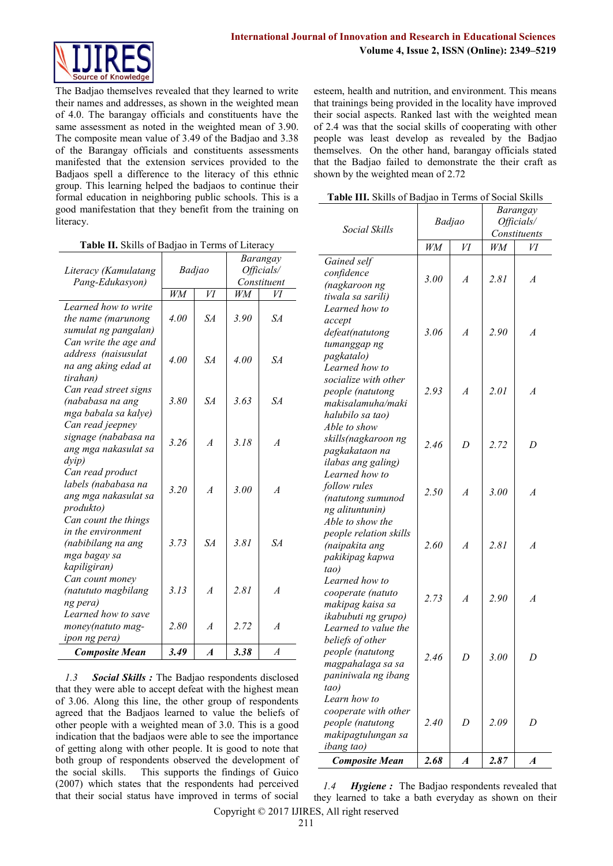

The Badjao themselves revealed that they learned to write their names and addresses, as shown in the weighted mean of 4.0. The barangay officials and constituents have the same assessment as noted in the weighted mean of 3.90. The composite mean value of 3.49 of the Badjao and 3.38 of the Barangay officials and constituents assessments manifested that the extension services provided to the Badjaos spell a difference to the literacy of this ethnic group. This learning helped the badjaos to continue their formal education in neighboring public schools. This is a good manifestation that they benefit from the training on literacy.

|  |  |  |  |  |  | Table II. Skills of Badjao in Terms of Literacy |
|--|--|--|--|--|--|-------------------------------------------------|
|--|--|--|--|--|--|-------------------------------------------------|

| Literacy (Kamulatang                                                                             | Badjao |                  | Barangay<br>Officials/ |                  |
|--------------------------------------------------------------------------------------------------|--------|------------------|------------------------|------------------|
| Pang-Edukasyon)                                                                                  |        |                  | Constituent            |                  |
|                                                                                                  | WM     | VI               | WМ                     | VІ               |
| Learned how to write<br>the name (marunong<br>sumulat ng pangalan)                               | 4.00   | $S\!A$           | 3.90                   | SA               |
| Can write the age and<br>address (naisusulat<br>na ang aking edad at<br>tirahan)                 | 4.00   | $S\!A$           | 4.00                   | $S\!A$           |
| Can read street signs<br>(nababasa na ang<br>mga babala sa kalye)                                | 3.80   | SA               | 3.63                   | SA               |
| Can read jeepney<br>signage (nababasa na<br>ang mga nakasulat sa<br>$\frac{d}{v}$                | 3.26   | $\overline{A}$   | 3.18                   | $\overline{A}$   |
| Can read product<br>labels (nababasa na<br>ang mga nakasulat sa<br>produkto)                     | 3.20   | $\overline{A}$   | 3.00                   | $\overline{A}$   |
| Can count the things<br>in the environment<br>(nabibilang na ang<br>mga bagay sa<br>kapiligiran) | 3.73   | SA               | 381                    | SA               |
| Can count money<br>(natututo magbilang                                                           | 3.13   | $\overline{A}$   | 2.81                   | $\overline{A}$   |
| ng pera)<br>Learned how to save<br>money(natuto mag-<br>ipon ng pera)                            | 2.80   | $\overline{A}$   | 2.72                   | $\overline{A}$   |
| <b>Composite Mean</b>                                                                            | 3.49   | $\boldsymbol{A}$ | 3.38                   | $\boldsymbol{A}$ |

*1.3 Social Skills :* The Badjao respondents disclosed that they were able to accept defeat with the highest mean of 3.06. Along this line, the other group of respondents agreed that the Badjaos learned to value the beliefs of other people with a weighted mean of 3.0. This is a good indication that the badjaos were able to see the importance of getting along with other people. It is good to note that both group of respondents observed the development of the social skills. This supports the findings of Guico (2007) which states that the respondents had perceived that their social status have improved in terms of social

esteem, health and nutrition, and environment. This means that trainings being provided in the locality have improved their social aspects. Ranked last with the weighted mean of 2.4 was that the social skills of cooperating with other people was least develop as revealed by the Badjao themselves. On the other hand, barangay officials stated that the Badjao failed to demonstrate the their craft as shown by the weighted mean of 2.72

**Table III.** Skills of Badjao in Terms of Social Skills

| Social Skills                                                                                                    | Badjao |                  | Barangay<br>Officials/<br>Constituents |                  |  |
|------------------------------------------------------------------------------------------------------------------|--------|------------------|----------------------------------------|------------------|--|
|                                                                                                                  | WM     | VI               | WM                                     | И                |  |
| Gained self<br>confidence<br>(nagkaroon ng<br>tiwala sa sarili)                                                  | 3.00   | $\boldsymbol{A}$ | 2.81                                   | $\boldsymbol{A}$ |  |
| Learned how to<br>accept<br>defeat(natutong<br>tumanggap ng<br>pagkatalo)                                        | 3.06   | $\overline{A}$   | 2.90                                   | $\overline{A}$   |  |
| Learned how to<br>socialize with other<br>people (natutong<br>makisalamuha/maki<br>halubilo sa tao)              | 2.93   | $\overline{A}$   | 2.01                                   | $\boldsymbol{A}$ |  |
| Able to show<br>skills(nagkaroon ng<br>pagkakataon na<br>ilabas ang galing)                                      | 2.46   | D                | 2.72                                   | D                |  |
| Learned how to<br>follow rules<br>(natutong sumunod<br>ng alituntunin)                                           | 2.50   | $\overline{A}$   | 3.00                                   | $\boldsymbol{A}$ |  |
| Able to show the<br>people relation skills<br>(naipakita ang<br>pakikipag kapwa<br>tao)                          | 2.60   | $\overline{A}$   | 2.81                                   | $\overline{A}$   |  |
| Learned how to<br>cooperate (natuto<br>makipag kaisa sa<br>ikabubuti ng grupo)                                   | 2.73   | $\overline{A}$   | 2.90                                   | $\boldsymbol{A}$ |  |
| Learned to value the<br>beliefs of other<br>people (natutong<br>magpahalaga sa sa<br>paniniwala ng ibang<br>tao) | 2.46   | D                | 3.00                                   | D                |  |
| Learn how to<br>cooperate with other<br>people (natutong<br>makipagtulungan sa<br><i>ibang tao</i> )             | 2.40   | D                | 2.09                                   | D                |  |
| <b>Composite Mean</b>                                                                                            | 2.68   | $\boldsymbol{A}$ | 2.87                                   | $\boldsymbol{A}$ |  |

Copyright © 2017 IJIRES, All right reserved *1.4 Hygiene :* The Badjao respondents revealed that they learned to take a bath everyday as shown on their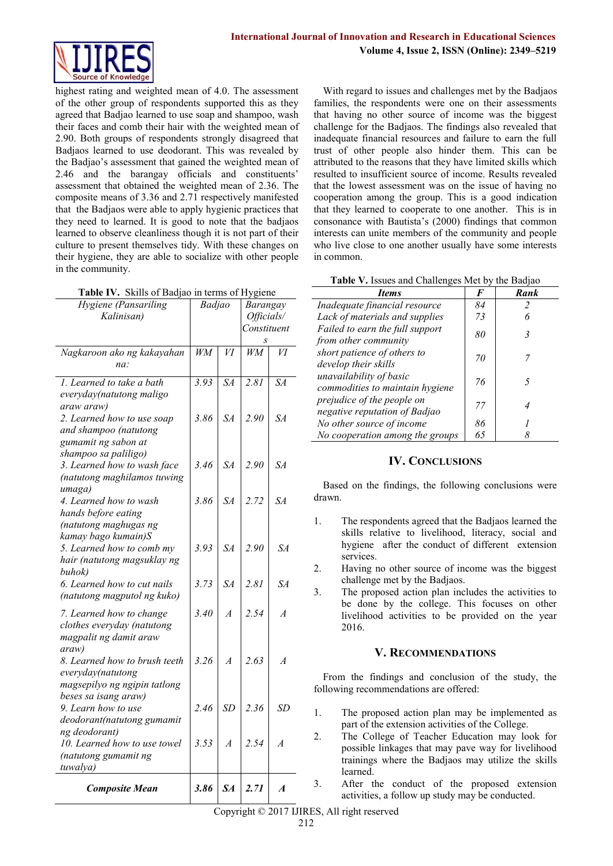

highest rating and weighted mean of 4.0. The assessment of the other group of respondents supported this as they agreed that Badjao learned to use soap and shampoo, wash their faces and comb their hair with the weighted mean of 2.90. Both groups of respondents strongly disagreed that Badjaos learned to use deodorant. This was revealed by the Badjao's assessment that gained the weighted mean of 2.46 and the barangay officials and constituents' assessment that obtained the weighted mean of 2.36. The composite means of 3.36 and 2.71 respectively manifested that the Badjaos were able to apply hygienic practices that they need to learned. It is good to note that the badjaos learned to observe cleanliness though it is not part of their culture to present themselves tidy. With these changes on their hygiene, they are able to socialize with other people in the community.

|  | Table IV. Skills of Badjao in terms of Hygiene |  |  |
|--|------------------------------------------------|--|--|
|--|------------------------------------------------|--|--|

| Hygiene (Pansariling                                | Badjao          |                 | Barangay        |                 |
|-----------------------------------------------------|-----------------|-----------------|-----------------|-----------------|
| Kalinisan)                                          |                 |                 | Officials/      |                 |
|                                                     |                 |                 | Constituent     |                 |
|                                                     |                 |                 |                 |                 |
| Nagkaroon ako ng kakayahan                          | $\overline{WM}$ | $\overline{VI}$ | $\overline{WM}$ | $\overline{VI}$ |
| na:                                                 |                 |                 |                 |                 |
| 1. Learned to take a bath                           | 3.93            | $S\!A$          | 2.81            | $S\!A$          |
| everyday(natutong maligo                            |                 |                 |                 |                 |
| araw araw)                                          |                 |                 |                 |                 |
| 2. Learned how to use soap                          | 3.86            | SA              | 2.90            | $S\!A$          |
| and shampoo (natutong                               |                 |                 |                 |                 |
| gumamit ng sabon at                                 |                 |                 |                 |                 |
| shampoo sa paliligo)<br>3. Learned how to wash face | 3.46            | $S\!A$          | 2.90            | $S\!A$          |
| (natutong maghilamos tuwing                         |                 |                 |                 |                 |
| umaga)                                              |                 |                 |                 |                 |
| 4. Learned how to wash                              | 3.86            | $S\!A$          | 2.72            | SA              |
| hands before eating                                 |                 |                 |                 |                 |
| (natutong maghugas ng                               |                 |                 |                 |                 |
| kamay bago kumain)S                                 |                 |                 |                 |                 |
| 5. Learned how to comb my                           | 3.93            | $S\!A$          | 2.90            | $S\!A$          |
| hair (natutong magsuklay ng                         |                 |                 |                 |                 |
| buhok)                                              |                 |                 |                 |                 |
| 6. Learned how to cut nails                         | 3.73            | $S\!A$          | 2.81            | SA              |
| (natutong magputol ng kuko)                         |                 |                 |                 |                 |
| 7. Learned how to change                            | 3.40            | $\overline{A}$  | 2.54            | $\overline{A}$  |
| clothes everyday (natutong                          |                 |                 |                 |                 |
| magpalit ng damit araw                              |                 |                 |                 |                 |
| araw)                                               |                 |                 |                 |                 |
| 8. Learned how to brush teeth                       | 3.26            | $\overline{A}$  | 2.63            | $\overline{A}$  |
| everyday(natutong                                   |                 |                 |                 |                 |
| magsepilyo ng ngipin tatlong                        |                 |                 |                 |                 |
| beses sa isang araw)                                |                 |                 |                 |                 |
| 9. Learn how to use                                 | 2.46            | SD              | 2.36            | <b>SD</b>       |
| deodorant(natutong gumamit<br>ng deodorant)         |                 |                 |                 |                 |
| 10. Learned how to use towel                        | 3.53            | $\overline{A}$  | 2.54            | $\overline{A}$  |
| (natutong gumamit ng                                |                 |                 |                 |                 |
| tuwalya)                                            |                 |                 |                 |                 |
|                                                     |                 |                 |                 |                 |
| <b>Composite Mean</b>                               | 3.86            | $S_{A}$         | 2.71            | A               |

With regard to issues and challenges met by the Badjaos families, the respondents were one on their assessments that having no other source of income was the biggest challenge for the Badjaos. The findings also revealed that inadequate financial resources and failure to earn the full trust of other people also hinder them. This can be attributed to the reasons that they have limited skills which resulted to insufficient source of income. Results revealed that the lowest assessment was on the issue of having no cooperation among the group. This is a good indication that they learned to cooperate to one another. This is in consonance with Bautista's (2000) findings that common interests can unite members of the community and people who live close to one another usually have some interests in common.

| Table V. Issues and Challenges Met by the Badjao |  |
|--------------------------------------------------|--|
|--------------------------------------------------|--|

| <i>Items</i>                                                | F  | Rank |
|-------------------------------------------------------------|----|------|
| Inadequate financial resource                               | 84 |      |
| Lack of materials and supplies                              | 73 |      |
| Failed to earn the full support<br>from other community     | 80 |      |
| short patience of others to<br>develop their skills         | 70 |      |
| unavailability of basic<br>commodities to maintain hygiene  | 76 |      |
| prejudice of the people on<br>negative reputation of Badjao | 77 |      |
| No other source of income                                   | 86 |      |
| No cooperation among the groups                             | 65 |      |

## **IV. CONCLUSIONS**

Based on the findings, the following conclusions were drawn.

- 1. The respondents agreed that the Badjaos learned the skills relative to livelihood, literacy, social and hygiene after the conduct of different extension services.
- 2. Having no other source of income was the biggest challenge met by the Badjaos.
- 3. The proposed action plan includes the activities to be done by the college. This focuses on other livelihood activities to be provided on the year 2016.

## **V. RECOMMENDATIONS**

From the findings and conclusion of the study, the following recommendations are offered:

- 1. The proposed action plan may be implemented as part of the extension activities of the College.
- 2. The College of Teacher Education may look for possible linkages that may pave way for livelihood trainings where the Badjaos may utilize the skills learned.
- 3. After the conduct of the proposed extension activities, a follow up study may be conducted.

Copyright © 2017 IJIRES, All right reserved